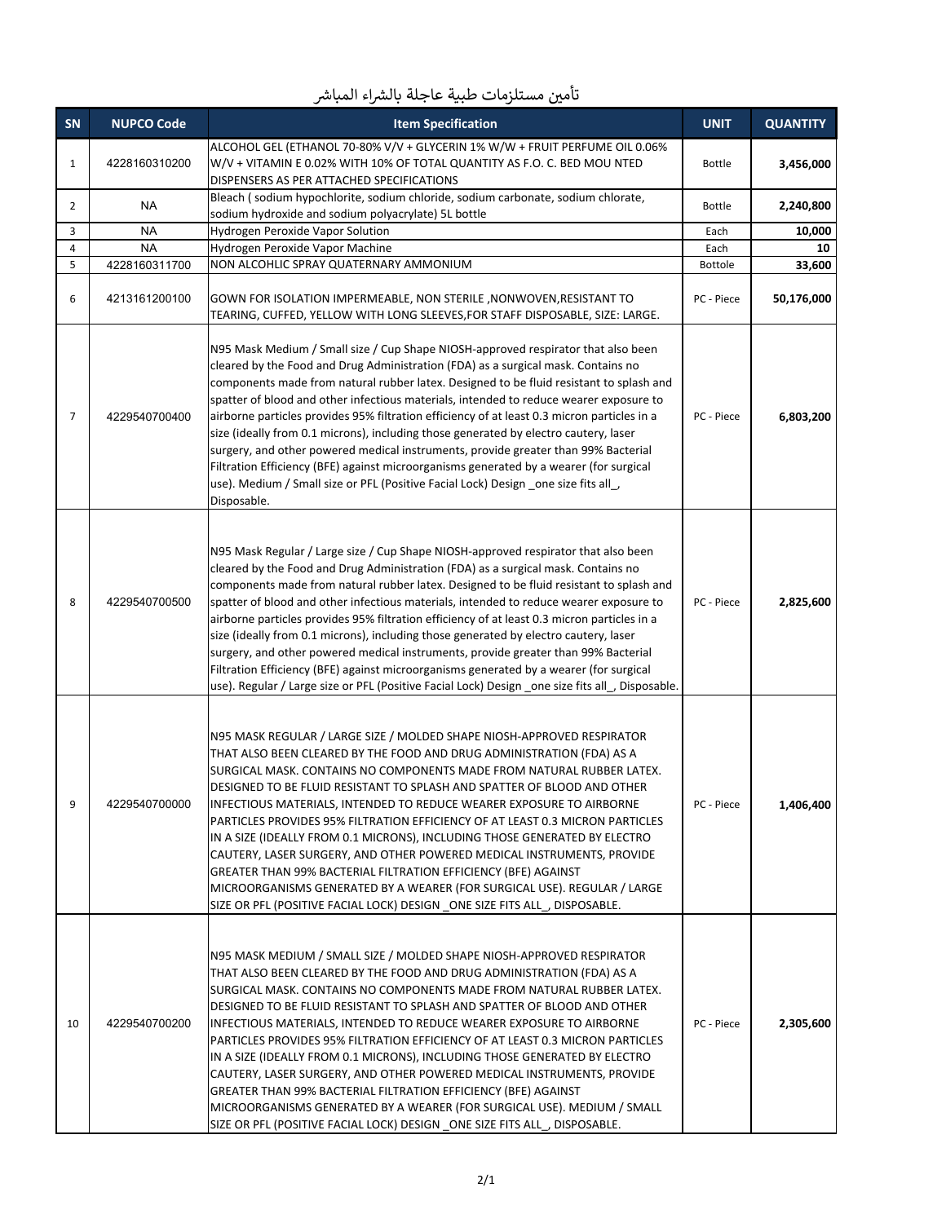| SN             | <b>NUPCO Code</b> | <b>Item Specification</b>                                                                                                                                                                                                                                                                                                                                                                                                                                                                                                                                                                                                                                                                                                                                                                                                                       | <b>UNIT</b>    | <b>QUANTITY</b> |
|----------------|-------------------|-------------------------------------------------------------------------------------------------------------------------------------------------------------------------------------------------------------------------------------------------------------------------------------------------------------------------------------------------------------------------------------------------------------------------------------------------------------------------------------------------------------------------------------------------------------------------------------------------------------------------------------------------------------------------------------------------------------------------------------------------------------------------------------------------------------------------------------------------|----------------|-----------------|
| 1              | 4228160310200     | ALCOHOL GEL (ETHANOL 70-80% V/V + GLYCERIN 1% W/W + FRUIT PERFUME OIL 0.06%<br>W/V + VITAMIN E 0.02% WITH 10% OF TOTAL QUANTITY AS F.O. C. BED MOU NTED<br>DISPENSERS AS PER ATTACHED SPECIFICATIONS                                                                                                                                                                                                                                                                                                                                                                                                                                                                                                                                                                                                                                            | <b>Bottle</b>  | 3,456,000       |
| 2              | NA                | Bleach (sodium hypochlorite, sodium chloride, sodium carbonate, sodium chlorate,<br>sodium hydroxide and sodium polyacrylate) 5L bottle                                                                                                                                                                                                                                                                                                                                                                                                                                                                                                                                                                                                                                                                                                         | <b>Bottle</b>  | 2,240,800       |
| 3              | <b>NA</b>         | Hydrogen Peroxide Vapor Solution                                                                                                                                                                                                                                                                                                                                                                                                                                                                                                                                                                                                                                                                                                                                                                                                                | Each           | 10,000          |
| 4              | <b>NA</b>         | Hydrogen Peroxide Vapor Machine                                                                                                                                                                                                                                                                                                                                                                                                                                                                                                                                                                                                                                                                                                                                                                                                                 | Each           | 10              |
| 5              | 4228160311700     | NON ALCOHLIC SPRAY QUATERNARY AMMONIUM                                                                                                                                                                                                                                                                                                                                                                                                                                                                                                                                                                                                                                                                                                                                                                                                          | <b>Bottole</b> | 33,600          |
| 6              | 4213161200100     | GOWN FOR ISOLATION IMPERMEABLE, NON STERILE , NONWOVEN, RESISTANT TO<br>TEARING, CUFFED, YELLOW WITH LONG SLEEVES, FOR STAFF DISPOSABLE, SIZE: LARGE.                                                                                                                                                                                                                                                                                                                                                                                                                                                                                                                                                                                                                                                                                           | PC - Piece     | 50,176,000      |
| $\overline{7}$ | 4229540700400     | N95 Mask Medium / Small size / Cup Shape NIOSH-approved respirator that also been<br>cleared by the Food and Drug Administration (FDA) as a surgical mask. Contains no<br>components made from natural rubber latex. Designed to be fluid resistant to splash and<br>spatter of blood and other infectious materials, intended to reduce wearer exposure to<br>airborne particles provides 95% filtration efficiency of at least 0.3 micron particles in a<br>size (ideally from 0.1 microns), including those generated by electro cautery, laser<br>surgery, and other powered medical instruments, provide greater than 99% Bacterial<br>Filtration Efficiency (BFE) against microorganisms generated by a wearer (for surgical<br>use). Medium / Small size or PFL (Positive Facial Lock) Design _one size fits all _,<br>Disposable.       | PC - Piece     | 6,803,200       |
| 8              | 4229540700500     | N95 Mask Regular / Large size / Cup Shape NIOSH-approved respirator that also been<br>cleared by the Food and Drug Administration (FDA) as a surgical mask. Contains no<br>components made from natural rubber latex. Designed to be fluid resistant to splash and<br>spatter of blood and other infectious materials, intended to reduce wearer exposure to<br>airborne particles provides 95% filtration efficiency of at least 0.3 micron particles in a<br>size (ideally from 0.1 microns), including those generated by electro cautery, laser<br>surgery, and other powered medical instruments, provide greater than 99% Bacterial<br>Filtration Efficiency (BFE) against microorganisms generated by a wearer (for surgical<br>use). Regular / Large size or PFL (Positive Facial Lock) Design _one size fits all_, Disposable.         | PC - Piece     | 2,825,600       |
| 9              | 4229540700000     | N95 MASK REGULAR / LARGE SIZE / MOLDED SHAPE NIOSH-APPROVED RESPIRATOR<br>THAT ALSO BEEN CLEARED BY THE FOOD AND DRUG ADMINISTRATION (FDA) AS A<br>SURGICAL MASK. CONTAINS NO COMPONENTS MADE FROM NATURAL RUBBER LATEX.<br>DESIGNED TO BE FLUID RESISTANT TO SPLASH AND SPATTER OF BLOOD AND OTHER<br>INFECTIOUS MATERIALS, INTENDED TO REDUCE WEARER EXPOSURE TO AIRBORNE<br>PARTICLES PROVIDES 95% FILTRATION EFFICIENCY OF AT LEAST 0.3 MICRON PARTICLES<br>IN A SIZE (IDEALLY FROM 0.1 MICRONS), INCLUDING THOSE GENERATED BY ELECTRO<br>CAUTERY, LASER SURGERY, AND OTHER POWERED MEDICAL INSTRUMENTS, PROVIDE<br>GREATER THAN 99% BACTERIAL FILTRATION EFFICIENCY (BFE) AGAINST<br>MICROORGANISMS GENERATED BY A WEARER (FOR SURGICAL USE). REGULAR / LARGE<br>SIZE OR PFL (POSITIVE FACIAL LOCK) DESIGN ONE SIZE FITS ALL , DISPOSABLE. | PC - Piece     | 1,406,400       |
| 10             | 4229540700200     | N95 MASK MEDIUM / SMALL SIZE / MOLDED SHAPE NIOSH-APPROVED RESPIRATOR<br>THAT ALSO BEEN CLEARED BY THE FOOD AND DRUG ADMINISTRATION (FDA) AS A<br>SURGICAL MASK. CONTAINS NO COMPONENTS MADE FROM NATURAL RUBBER LATEX.<br>DESIGNED TO BE FLUID RESISTANT TO SPLASH AND SPATTER OF BLOOD AND OTHER<br>INFECTIOUS MATERIALS, INTENDED TO REDUCE WEARER EXPOSURE TO AIRBORNE<br>PARTICLES PROVIDES 95% FILTRATION EFFICIENCY OF AT LEAST 0.3 MICRON PARTICLES<br>IN A SIZE (IDEALLY FROM 0.1 MICRONS), INCLUDING THOSE GENERATED BY ELECTRO<br>CAUTERY, LASER SURGERY, AND OTHER POWERED MEDICAL INSTRUMENTS, PROVIDE<br>GREATER THAN 99% BACTERIAL FILTRATION EFFICIENCY (BFE) AGAINST<br>MICROORGANISMS GENERATED BY A WEARER (FOR SURGICAL USE). MEDIUM / SMALL<br>SIZE OR PFL (POSITIVE FACIAL LOCK) DESIGN _ONE SIZE FITS ALL_, DISPOSABLE.  | PC - Piece     | 2,305,600       |

## $\ddot{\phantom{0}}$ تأمين مستلزمات طبية عاجلة بالشراء المباشر